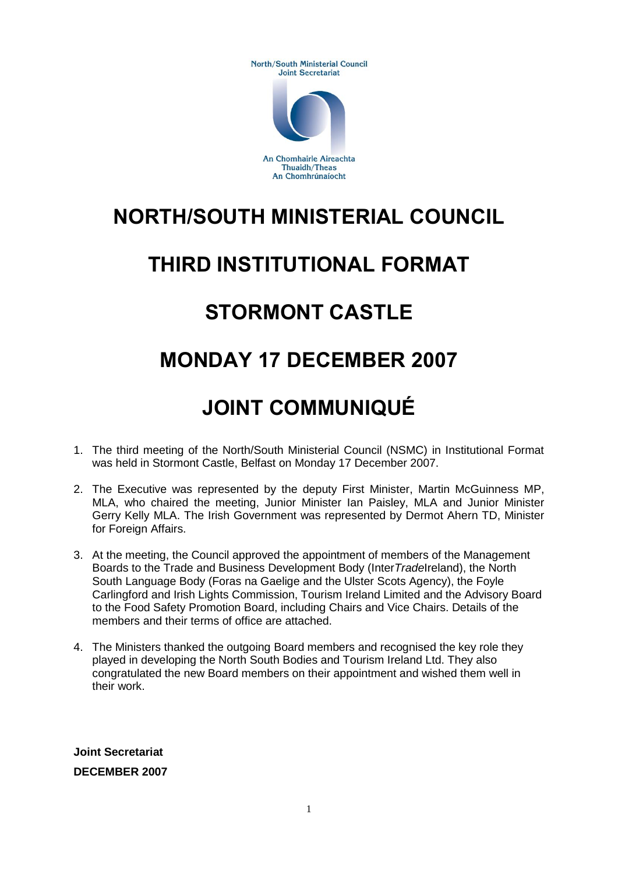North/South Ministerial Council **Joint Secretariat** 



An Chomhairle Aireachta **Thuaidh/Theas** An Chomhrúnaíocht

## **NORTH/SOUTH MINISTERIAL COUNCIL**

## **THIRD INSTITUTIONAL FORMAT**

## **STORMONT CASTLE**

## **MONDAY 17 DECEMBER 2007**

# **JOINT COMMUNIQUÉ**

- 1. The third meeting of the North/South Ministerial Council (NSMC) in Institutional Format was held in Stormont Castle, Belfast on Monday 17 December 2007.
- 2. The Executive was represented by the deputy First Minister, Martin McGuinness MP, MLA, who chaired the meeting, Junior Minister Ian Paisley, MLA and Junior Minister Gerry Kelly MLA. The Irish Government was represented by Dermot Ahern TD, Minister for Foreign Affairs.
- 3. At the meeting, the Council approved the appointment of members of the Management Boards to the Trade and Business Development Body (Inter*Trade*Ireland), the North South Language Body (Foras na Gaelige and the Ulster Scots Agency), the Foyle Carlingford and Irish Lights Commission, Tourism Ireland Limited and the Advisory Board to the Food Safety Promotion Board, including Chairs and Vice Chairs. Details of the members and their terms of office are attached.
- 4. The Ministers thanked the outgoing Board members and recognised the key role they played in developing the North South Bodies and Tourism Ireland Ltd. They also congratulated the new Board members on their appointment and wished them well in their work.

**Joint Secretariat DECEMBER 2007**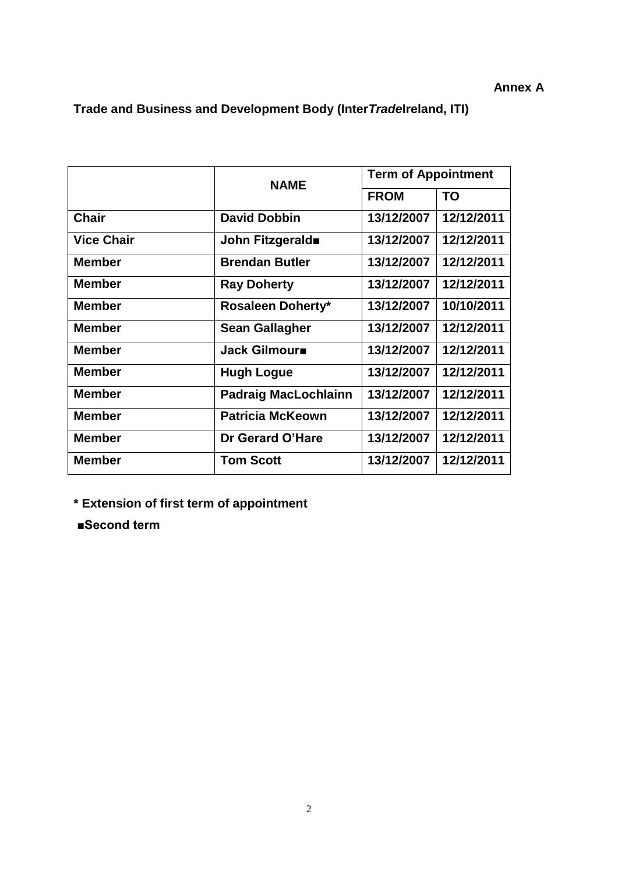### **Annex A**

**Trade and Business and Development Body (Inter***Trade***Ireland, ITI)**

|                   | <b>NAME</b>                 | <b>Term of Appointment</b> |            |
|-------------------|-----------------------------|----------------------------|------------|
|                   |                             | <b>FROM</b>                | <b>TO</b>  |
| <b>Chair</b>      | <b>David Dobbin</b>         | 13/12/2007                 | 12/12/2011 |
| <b>Vice Chair</b> | John Fitzgerald             | 13/12/2007                 | 12/12/2011 |
| <b>Member</b>     | <b>Brendan Butler</b>       | 13/12/2007                 | 12/12/2011 |
| <b>Member</b>     | <b>Ray Doherty</b>          | 13/12/2007                 | 12/12/2011 |
| Member            | <b>Rosaleen Doherty*</b>    | 13/12/2007                 | 10/10/2011 |
| <b>Member</b>     | <b>Sean Gallagher</b>       | 13/12/2007                 | 12/12/2011 |
| <b>Member</b>     | Jack Gilmour                | 13/12/2007                 | 12/12/2011 |
| <b>Member</b>     | <b>Hugh Logue</b>           | 13/12/2007                 | 12/12/2011 |
| <b>Member</b>     | <b>Padraig MacLochlainn</b> | 13/12/2007                 | 12/12/2011 |
| <b>Member</b>     | <b>Patricia McKeown</b>     | 13/12/2007                 | 12/12/2011 |
| <b>Member</b>     | Dr Gerard O'Hare            | 13/12/2007                 | 12/12/2011 |
| <b>Member</b>     | <b>Tom Scott</b>            | 13/12/2007                 | 12/12/2011 |

**\* Extension of first term of appointment**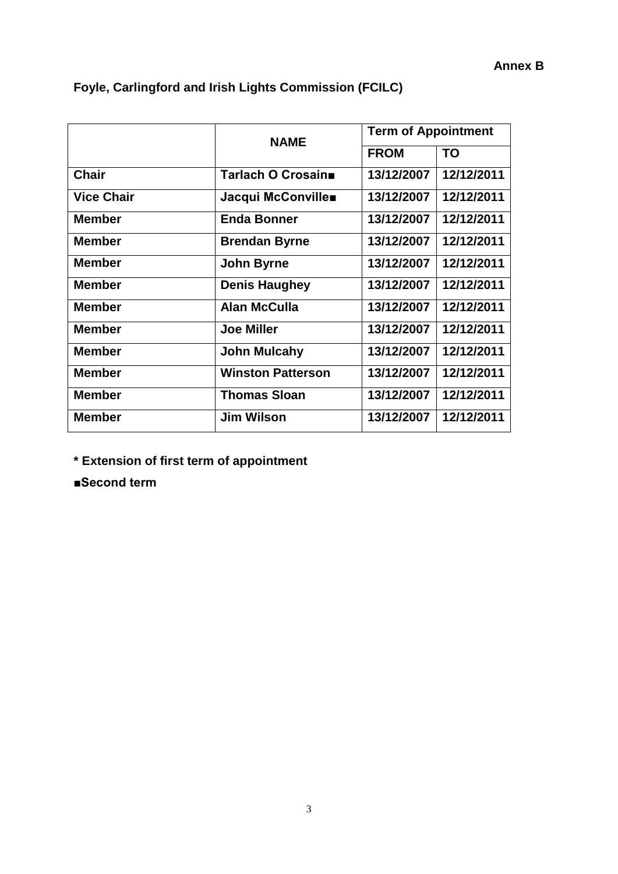|                   | <b>NAME</b>              | <b>Term of Appointment</b> |            |
|-------------------|--------------------------|----------------------------|------------|
|                   |                          | <b>FROM</b>                | TO         |
| <b>Chair</b>      | Tarlach O Crosain■       | 13/12/2007                 | 12/12/2011 |
| <b>Vice Chair</b> | Jacqui McConville        | 13/12/2007                 | 12/12/2011 |
| <b>Member</b>     | <b>Enda Bonner</b>       | 13/12/2007                 | 12/12/2011 |
| <b>Member</b>     | <b>Brendan Byrne</b>     | 13/12/2007                 | 12/12/2011 |
| <b>Member</b>     | <b>John Byrne</b>        | 13/12/2007                 | 12/12/2011 |
| <b>Member</b>     | <b>Denis Haughey</b>     | 13/12/2007                 | 12/12/2011 |
| <b>Member</b>     | <b>Alan McCulla</b>      | 13/12/2007                 | 12/12/2011 |
| <b>Member</b>     | <b>Joe Miller</b>        | 13/12/2007                 | 12/12/2011 |
| <b>Member</b>     | <b>John Mulcahy</b>      | 13/12/2007                 | 12/12/2011 |
| <b>Member</b>     | <b>Winston Patterson</b> | 13/12/2007                 | 12/12/2011 |
| <b>Member</b>     | <b>Thomas Sloan</b>      | 13/12/2007                 | 12/12/2011 |
| <b>Member</b>     | <b>Jim Wilson</b>        | 13/12/2007                 | 12/12/2011 |

### **Foyle, Carlingford and Irish Lights Commission (FCILC)**

**\* Extension of first term of appointment**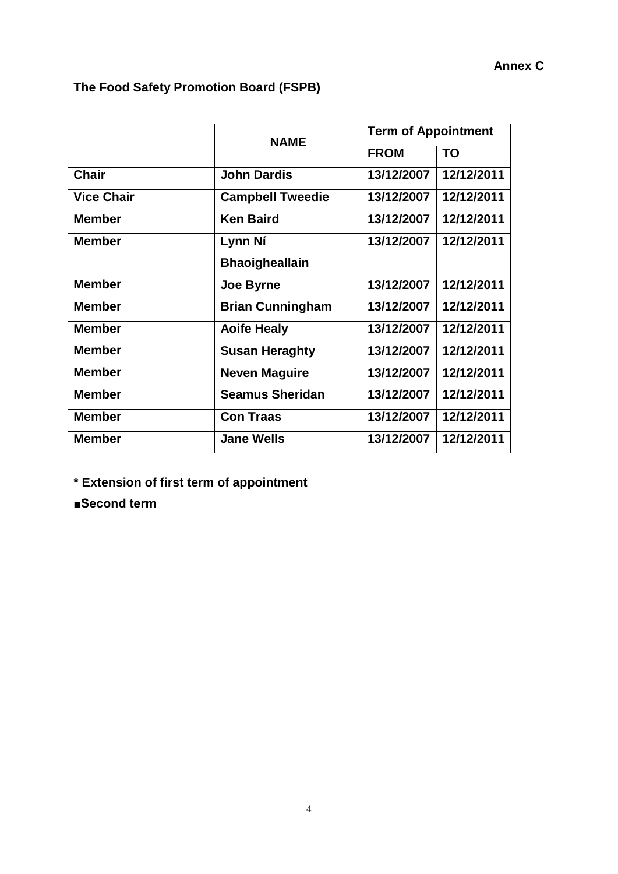### **The Food Safety Promotion Board (FSPB)**

|                   | <b>NAME</b>             | <b>Term of Appointment</b> |            |
|-------------------|-------------------------|----------------------------|------------|
|                   |                         | <b>FROM</b>                | <b>TO</b>  |
| <b>Chair</b>      | <b>John Dardis</b>      | 13/12/2007                 | 12/12/2011 |
| <b>Vice Chair</b> | <b>Campbell Tweedie</b> | 13/12/2007                 | 12/12/2011 |
| <b>Member</b>     | <b>Ken Baird</b>        | 13/12/2007                 | 12/12/2011 |
| <b>Member</b>     | Lynn Ní                 | 13/12/2007                 | 12/12/2011 |
|                   | <b>Bhaoigheallain</b>   |                            |            |
| <b>Member</b>     | Joe Byrne               | 13/12/2007                 | 12/12/2011 |
| <b>Member</b>     | <b>Brian Cunningham</b> | 13/12/2007                 | 12/12/2011 |
| <b>Member</b>     | <b>Aoife Healy</b>      | 13/12/2007                 | 12/12/2011 |
| <b>Member</b>     | <b>Susan Heraghty</b>   | 13/12/2007                 | 12/12/2011 |
| <b>Member</b>     | <b>Neven Maguire</b>    | 13/12/2007                 | 12/12/2011 |
| <b>Member</b>     | <b>Seamus Sheridan</b>  | 13/12/2007                 | 12/12/2011 |
| <b>Member</b>     | <b>Con Traas</b>        | 13/12/2007                 | 12/12/2011 |
| <b>Member</b>     | <b>Jane Wells</b>       | 13/12/2007                 | 12/12/2011 |

**\* Extension of first term of appointment**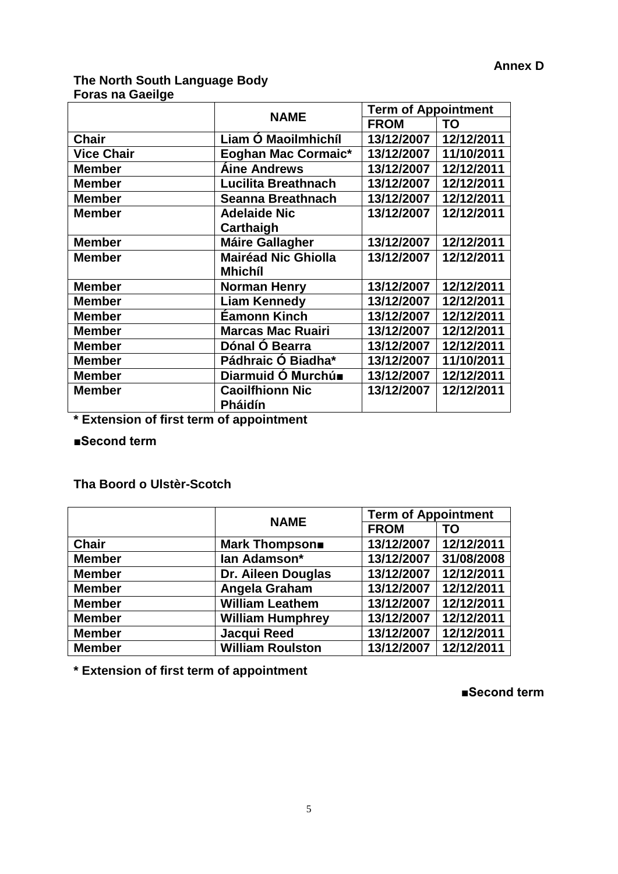#### **The North South Language Body Foras na Gaeilge**

|                   | <b>NAME</b>                | <b>Term of Appointment</b> |            |
|-------------------|----------------------------|----------------------------|------------|
|                   |                            | <b>FROM</b>                | <b>TO</b>  |
| <b>Chair</b>      | Liam O Maoilmhichíl        | 13/12/2007 12/12/2011      |            |
| <b>Vice Chair</b> | <b>Eoghan Mac Cormaic*</b> | 13/12/2007                 | 11/10/2011 |
| <b>Member</b>     | <b>Áine Andrews</b>        | 13/12/2007                 | 12/12/2011 |
| <b>Member</b>     | Lucilita Breathnach        | 13/12/2007                 | 12/12/2011 |
| <b>Member</b>     | Seanna Breathnach          | 13/12/2007                 | 12/12/2011 |
| <b>Member</b>     | <b>Adelaide Nic</b>        | 13/12/2007                 | 12/12/2011 |
|                   | Carthaigh                  |                            |            |
| <b>Member</b>     | <b>Máire Gallagher</b>     | 13/12/2007                 | 12/12/2011 |
| <b>Member</b>     | <b>Mairéad Nic Ghiolla</b> | 13/12/2007                 | 12/12/2011 |
|                   | <b>Mhichíl</b>             |                            |            |
| <b>Member</b>     | <b>Norman Henry</b>        | 13/12/2007                 | 12/12/2011 |
| <b>Member</b>     | <b>Liam Kennedy</b>        | 13/12/2007                 | 12/12/2011 |
| <b>Member</b>     | Éamonn Kinch               | 13/12/2007                 | 12/12/2011 |
| <b>Member</b>     | <b>Marcas Mac Ruairi</b>   | 13/12/2007                 | 12/12/2011 |
| <b>Member</b>     | Dónal Ó Bearra             | 13/12/2007                 | 12/12/2011 |
| <b>Member</b>     | Pádhraic Ó Biadha*         | 13/12/2007                 | 11/10/2011 |
| <b>Member</b>     | Diarmuid Ó Murchú■         | 13/12/2007                 | 12/12/2011 |
| <b>Member</b>     | <b>Caoilfhionn Nic</b>     | 13/12/2007                 | 12/12/2011 |
|                   | <b>Pháidín</b>             |                            |            |

**\* Extension of first term of appointment**

**■Second term**

#### **Tha Boord o Ulstèr-Scotch**

|               | <b>NAME</b>             | <b>Term of Appointment</b> |            |
|---------------|-------------------------|----------------------------|------------|
|               |                         | <b>FROM</b>                | <b>TO</b>  |
| <b>Chair</b>  | <b>Mark Thompson■</b>   | 13/12/2007                 | 12/12/2011 |
| <b>Member</b> | lan Adamson*            | 13/12/2007                 | 31/08/2008 |
| <b>Member</b> | Dr. Aileen Douglas      | 13/12/2007                 | 12/12/2011 |
| <b>Member</b> | Angela Graham           | 13/12/2007                 | 12/12/2011 |
| <b>Member</b> | <b>William Leathem</b>  | 13/12/2007                 | 12/12/2011 |
| <b>Member</b> | <b>William Humphrey</b> | 13/12/2007                 | 12/12/2011 |
| <b>Member</b> | Jacqui Reed             | 13/12/2007                 | 12/12/2011 |
| <b>Member</b> | <b>William Roulston</b> | 13/12/2007                 | 12/12/2011 |

**\* Extension of first term of appointment**